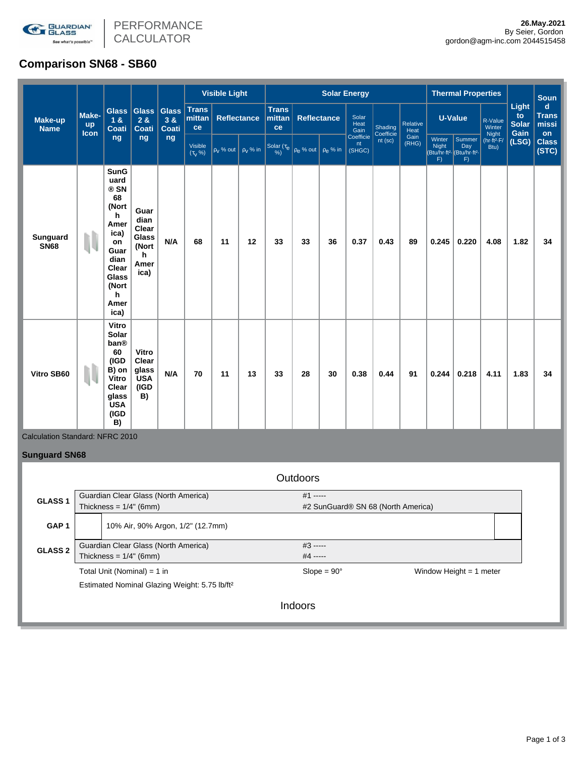

# **Comparison SN68 - SB60**

|                                 |                     |                                                                                                                                              |                                                               |                                    |                                    | <b>Visible Light</b> |               |                                               |                    | <b>Solar Energy</b> |                           |                      |                  |                       | <b>Thermal Properties</b>                                                                                                         |                       |                                     | <b>Soun</b>                          |
|---------------------------------|---------------------|----------------------------------------------------------------------------------------------------------------------------------------------|---------------------------------------------------------------|------------------------------------|------------------------------------|----------------------|---------------|-----------------------------------------------|--------------------|---------------------|---------------------------|----------------------|------------------|-----------------------|-----------------------------------------------------------------------------------------------------------------------------------|-----------------------|-------------------------------------|--------------------------------------|
| <b>Make-up</b><br><b>Name</b>   | Make-<br>up<br>Icon | <b>Glass</b><br>18<br><b>Coati</b>                                                                                                           | <b>Glass</b><br>28<br><b>Coati</b>                            | <b>Glass</b><br>38<br><b>Coati</b> | <b>Trans</b><br>mittan<br>ce       | <b>Reflectance</b>   |               | <b>Trans</b><br>mittan<br>ce                  | <b>Reflectance</b> |                     | Solar<br>Heat<br>Gain     | Shading<br>Coefficie | Relative<br>Heat | U-Value               |                                                                                                                                   | R-Value<br>Winter     | Light<br>to<br><b>Solar</b><br>Gain | $\mathbf d$<br><b>Trans</b><br>missi |
|                                 |                     | ng                                                                                                                                           | ng                                                            | ng                                 | Visible<br>$(\tau_{\rm V} \, \% )$ | $p_V$ % out          | $\rho_V$ % in | Solar ( $\tau_e$ $\rho_e$ % out $\rho_e$ % in |                    |                     | Coefficie<br>nt<br>(SHGC) | $nt$ (sc)            | Gain<br>(RHG)    | Winter<br>Night<br>F) | Night<br>(hr-ft <sup>2</sup> -F/<br>on<br>Summer<br>(LSG)<br>Day<br>Btu)<br>(Btu/hr-ft <sup>2</sup> (Btu/hr-ft <sup>2</sup><br>F) | <b>Class</b><br>(STC) |                                     |                                      |
| <b>Sunguard</b><br><b>SN68</b>  | N                   | <b>SunG</b><br>uard<br>® SN<br>68<br>(Nort<br>h<br>Amer<br>ica)<br>on<br>Guar<br>dian<br>Clear<br><b>Glass</b><br>(Nort<br>h<br>Amer<br>ica) | Guar<br>dian<br>Clear<br>Glass<br>(Nort<br>h.<br>Amer<br>ica) | N/A                                | 68                                 | 11                   | 12            | 33                                            | 33                 | 36                  | 0.37                      | 0.43                 | 89               | 0.245                 | 0.220                                                                                                                             | 4.08                  | 1.82                                | 34                                   |
| Vitro SB60                      | IJ                  | Vitro<br>Solar<br>ban®<br>60<br>(IGD<br>B) on<br>Vitro<br>Clear<br>glass<br><b>USA</b><br>(IGD<br>B)                                         | Vitro<br>Clear<br>glass<br><b>USA</b><br>(IGD<br>B)           | N/A                                | 70                                 | 11                   | 13            | 33                                            | 28                 | 30                  | 0.38                      | 0.44                 | 91               | 0.244                 | 0.218                                                                                                                             | 4.11                  | 1.83                                | 34                                   |
| Calculation Standard: NFRC 2010 |                     |                                                                                                                                              |                                                               |                                    |                                    |                      |               |                                               |                    |                     |                           |                      |                  |                       |                                                                                                                                   |                       |                                     |                                      |
| <b>Sunguard SN68</b>            |                     |                                                                                                                                              |                                                               |                                    |                                    |                      |               |                                               |                    |                     |                           |                      |                  |                       |                                                                                                                                   |                       |                                     |                                      |

|                  |                                                                   | <b>Outdoors</b>          |                                    |  |  |  |  |  |  |
|------------------|-------------------------------------------------------------------|--------------------------|------------------------------------|--|--|--|--|--|--|
| <b>GLASS1</b>    | Guardian Clear Glass (North America)<br>Thickness = $1/4$ " (6mm) | $#1$ -----               | #2 SunGuard® SN 68 (North America) |  |  |  |  |  |  |
| GAP <sub>1</sub> | 10% Air, 90% Argon, 1/2" (12.7mm)                                 |                          |                                    |  |  |  |  |  |  |
| <b>GLASS 2</b>   | Guardian Clear Glass (North America)<br>Thickness = $1/4$ " (6mm) | $#3$ -----<br>$#4$ ----- |                                    |  |  |  |  |  |  |
|                  | Total Unit (Nominal) = 1 in                                       | $Slope = 90^\circ$       | Window Height $= 1$ meter          |  |  |  |  |  |  |
|                  | Estimated Nominal Glazing Weight: 5.75 lb/ft <sup>2</sup>         |                          |                                    |  |  |  |  |  |  |
|                  |                                                                   | Indoors                  |                                    |  |  |  |  |  |  |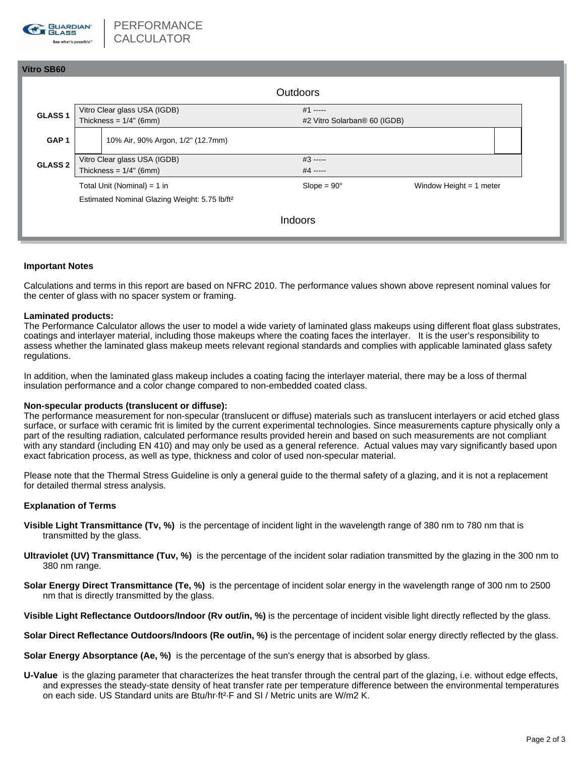

# **Vitro SB60 Outdoors** Vitro Clear glass USA (IGDB) Thickness =  $1/4$ " (6mm) #1 ----- **GLASS 1** Thickness = 1/4" (6mm) **GLASS 1** Thickness = 1/4" (6mm) **GAP 1** 10% Air, 90% Argon, 1/2" (12.7mm) Vitro Clear glass USA (IGDB) **GLASS 2** Thickness =  $1/4$ " (6mm)  $#4$  -----#3 ----- Total Unit (Nominal) = 1 in Slope = 90° Window Height = 1 meter Estimated Nominal Glazing Weight: 5.75 lb/ft²

Indoors

## **Important Notes**

Calculations and terms in this report are based on NFRC 2010. The performance values shown above represent nominal values for the center of glass with no spacer system or framing.

#### **Laminated products:**

The Performance Calculator allows the user to model a wide variety of laminated glass makeups using different float glass substrates, coatings and interlayer material, including those makeups where the coating faces the interlayer. It is the user's responsibility to assess whether the laminated glass makeup meets relevant regional standards and complies with applicable laminated glass safety regulations.

In addition, when the laminated glass makeup includes a coating facing the interlayer material, there may be a loss of thermal insulation performance and a color change compared to non-embedded coated class.

## **Non-specular products (translucent or diffuse):**

The performance measurement for non-specular (translucent or diffuse) materials such as translucent interlayers or acid etched glass surface, or surface with ceramic frit is limited by the current experimental technologies. Since measurements capture physically only a part of the resulting radiation, calculated performance results provided herein and based on such measurements are not compliant with any standard (including EN 410) and may only be used as a general reference. Actual values may vary significantly based upon exact fabrication process, as well as type, thickness and color of used non-specular material.

Please note that the Thermal Stress Guideline is only a general guide to the thermal safety of a glazing, and it is not a replacement for detailed thermal stress analysis.

#### **Explanation of Terms**

- **Visible Light Transmittance (Tv, %)** is the percentage of incident light in the wavelength range of 380 nm to 780 nm that is transmitted by the glass.
- **Ultraviolet (UV) Transmittance (Tuv, %)** is the percentage of the incident solar radiation transmitted by the glazing in the 300 nm to 380 nm range.
- **Solar Energy Direct Transmittance (Te, %)** is the percentage of incident solar energy in the wavelength range of 300 nm to 2500 nm that is directly transmitted by the glass.

**Visible Light Reflectance Outdoors/Indoor (Rv out/in, %)** is the percentage of incident visible light directly reflected by the glass.

**Solar Direct Reflectance Outdoors/Indoors (Re out/in, %)** is the percentage of incident solar energy directly reflected by the glass.

**Solar Energy Absorptance (Ae, %)** is the percentage of the sun's energy that is absorbed by glass.

**U-Value** is the glazing parameter that characterizes the heat transfer through the central part of the glazing, i.e. without edge effects, and expresses the steady-state density of heat transfer rate per temperature difference between the environmental temperatures on each side. US Standard units are Btu/hr·ft²·F and SI / Metric units are W/m2 K.